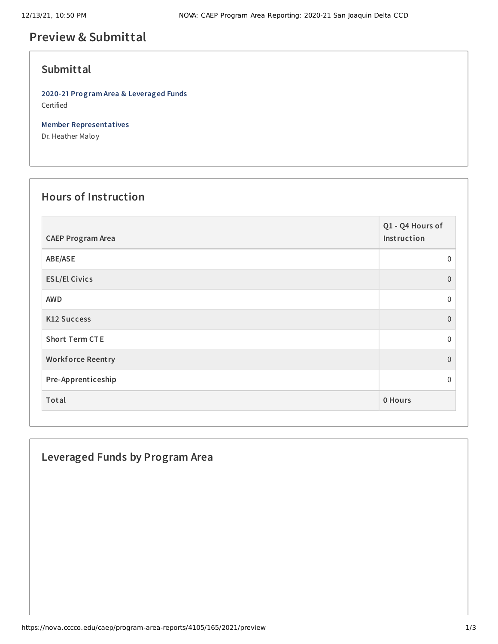# **Preview & Submittal**

### **Submittal**

**2020-21 Program Area & Leveraged Funds** Certified

**Member Representatives**

Dr. Heather Maloy

## **Hours of Instruction**

| <b>CAEP Program Area</b> | Q1 - Q4 Hours of<br>Instruction |
|--------------------------|---------------------------------|
| ABE/ASE                  | $\mathbf 0$                     |
| <b>ESL/El Civics</b>     | $\Omega$                        |
| <b>AWD</b>               | 0                               |
| <b>K12 Success</b>       | $\overline{0}$                  |
| <b>Short Term CTE</b>    | $\mathbf 0$                     |
| <b>Workforce Reentry</b> | $\overline{0}$                  |
| Pre-Apprenticeship       | 0                               |
| Total                    | 0 Hours                         |

### **Leveraged Funds by Program Area**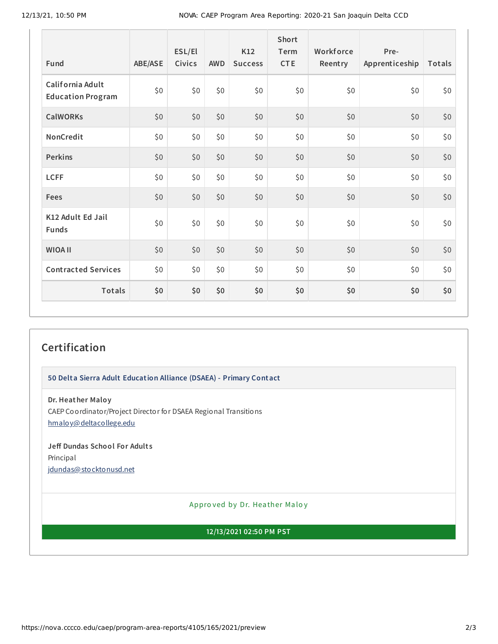| Fund                                         | ABE/ASE | ESL/El<br>Civics | <b>AWD</b> | K12<br><b>Success</b> | <b>Short</b><br>Term<br><b>CTE</b> | Workforce<br>Reentry | Pre-<br>Apprenticeship | Totals |
|----------------------------------------------|---------|------------------|------------|-----------------------|------------------------------------|----------------------|------------------------|--------|
| California Adult<br><b>Education Program</b> | \$0     | \$0              | \$0        | \$0                   | \$0                                | \$0                  | \$0                    | \$0    |
| <b>CalWORKs</b>                              | \$0     | \$0              | \$0        | \$0\$                 | \$0                                | \$0                  | \$0                    | \$0    |
| NonCredit                                    | \$0     | \$0              | \$0        | \$0\$                 | \$0                                | \$0\$                | \$0                    | \$0    |
| <b>Perkins</b>                               | \$0     | \$0              | \$0        | \$0                   | \$0                                | \$0                  | \$0                    | \$0    |
| <b>LCFF</b>                                  | \$0     | \$0              | \$0        | \$0\$                 | \$0                                | \$0                  | \$0                    | \$0    |
| <b>Fees</b>                                  | \$0     | \$0              | \$0        | \$0                   | \$0                                | \$0                  | \$0                    | \$0    |
| K12 Adult Ed Jail<br><b>Funds</b>            | \$0     | \$0              | \$0        | \$0                   | \$0                                | \$0                  | \$0                    | \$0    |
| <b>WIOA II</b>                               | \$0     | \$0              | \$0        | \$0\$                 | \$0                                | \$0                  | \$0                    | \$0    |
| <b>Contracted Services</b>                   | \$0     | \$0              | \$0        | \$0\$                 | \$0                                | \$0                  | \$0                    | \$0    |
| Totals                                       | \$0     | \$0              | \$0        | \$0                   | \$0                                | \$0                  | \$0                    | \$0    |

## **Certification**

#### **50 Delta Sierra Adult Education Alliance (DSAEA) - Primary Contact**

**Dr. Heather Maloy** CAEP Coordinator/Project Director for DSAEA Regional Transitions [hmaloy@deltacollege.edu](mailto:hmaloy@deltacollege.edu)

**Jeff Dundas School For Adult s** Principal [jdundas@stocktonusd.net](mailto:jdundas@stocktonusd.net)

Appro ved by Dr. Heather Maloy

**12/13/2021 02:50 PM PST**